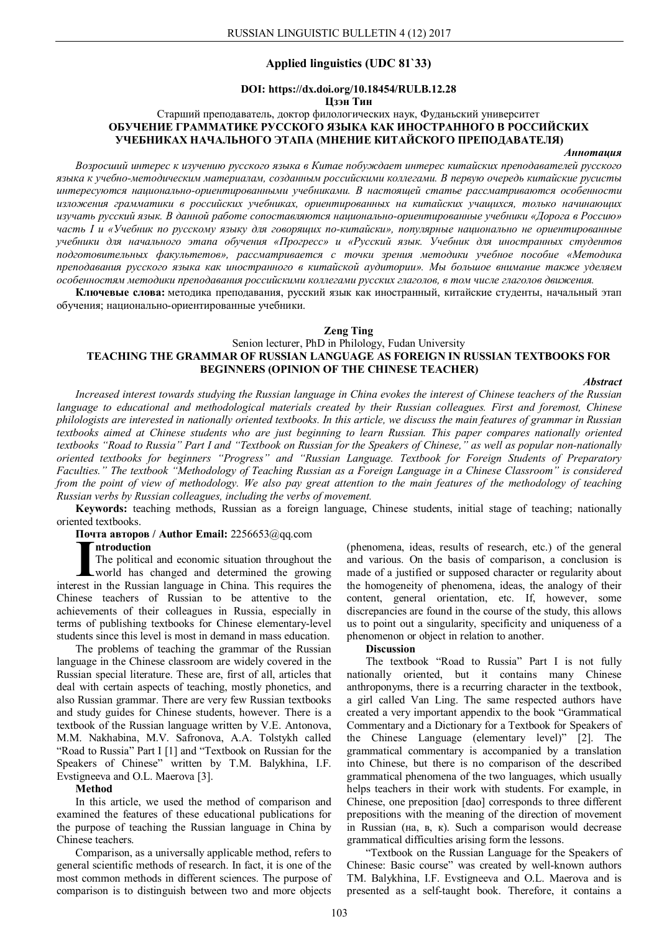## **Applied linguistics (UDC 81`33)**

# **DOI: https://dx.doi.org/10.18454/RULB.12.28**

## **Цзэн Тин**

## Старший преподаватель, доктор филологических наук, Фуданьский университет **ОБУЧЕНИЕ ГРАММАТИКЕ РУССКОГО ЯЗЫКА КАК ИНОСТРАННОГО В РОССИЙСКИХ УЧЕБНИКАХ НАЧАЛЬНОГО ЭТАПА (МНЕНИЕ КИТАЙСКОГО ПРЕПОДАВАТЕЛЯ)**

#### *Аннотация*

*Возросший интерес к изучению русского языка в Китае побуждает интерес китайских преподавателей русского языка к учебно-методическим материалам, созданным российскими коллегами. В первую очередь китайские русисты интересуются национально-ориентированными учебниками. В настоящей статье рассматриваются особенности изложения грамматики в российских учебниках, ориентированных на китайских учащихся, только начинающих изучать русский язык. В данной работе сопоставляются национально-ориентированные учебники «Дорога в Россию» часть I и «Учебник по русскому языку для говорящих по-китайски», популярные национально не ориентированные учебники для начального этапа обучения «Прогресс» и «Русский язык. Учебник для иностранных студентов подготовительных факультетов», рассматривается с точки зрения методики учебное пособие «Методика преподавания русского языка как иностранного в китайской аудитории». Мы большое внимание также уделяем особенностям методики преподавания российскими коллегами русских глаголов, в том числе глаголов движения.*

**Ключевые слова:** методика преподавания, русский язык как иностранный, китайские студенты, начальный этап обучения; национально-ориентированные учебники.

#### **Zeng Ting**

## Senion lecturer, PhD in Philology, Fudan University **TEACHING THE GRAMMAR OF RUSSIAN LANGUAGE AS FOREIGN IN RUSSIAN TEXTBOOKS FOR BEGINNERS (OPINION OF THE CHINESE TEACHER)**

#### *Abstract*

*Increased interest towards studying the Russian language in China evokes the interest of Chinese teachers of the Russian language to educational and methodological materials created by their Russian colleagues. First and foremost, Chinese philologists are interested in nationally oriented textbooks. In this article, we discuss the main features of grammar in Russian textbooks aimed at Chinese students who are just beginning to learn Russian. This paper compares nationally oriented textbooks "Road to Russia" Part I and "Textbook on Russian for the Speakers of Chinese," as well as popular non-nationally oriented textbooks for beginners "Progress" and "Russian Language. Textbook for Foreign Students of Preparatory Faculties." The textbook "Methodology of Teaching Russian as a Foreign Language in a Chinese Classroom" is considered from the point of view of methodology. We also pay great attention to the main features of the methodology of teaching Russian verbs by Russian colleagues, including the verbs of movement.*

**Keywords:** teaching methods, Russian as a foreign language, Chinese students, initial stage of teaching; nationally oriented textbooks.

#### **Почта авторов / Author Email:** 2256653@qq.com

#### **ntroduction**

The political and economic situation throughout the world has changed and determined the growing **Introduction**<br>The political and economic situation throughout the<br>world has changed and determined the growing<br>interest in the Russian language in China. This requires the Chinese teachers of Russian to be attentive to the achievements of their colleagues in Russia, especially in terms of publishing textbooks for Chinese elementary-level students since this level is most in demand in mass education.

The problems of teaching the grammar of the Russian language in the Chinese classroom are widely covered in the Russian special literature. These are, first of all, articles that deal with certain aspects of teaching, mostly phonetics, and also Russian grammar. There are very few Russian textbooks and study guides for Chinese students, however. There is a textbook of the Russian language written by V.E. Antonova, M.M. Nakhabina, M.V. Safronova, A.A. Tolstykh called "Road to Russia" Part I [1] and "Textbook on Russian for the Speakers of Chinese" written by T.M. Balykhina, I.F. Evstigneeva and O.L. Maerova [3].

#### **Method**

In this article, we used the method of comparison and examined the features of these educational publications for the purpose of teaching the Russian language in China by Chinese teachers.

Comparison, as a universally applicable method, refers to general scientific methods of research. In fact, it is one of the most common methods in different sciences. The purpose of comparison is to distinguish between two and more objects

(phenomena, ideas, results of research, etc.) of the general and various. On the basis of comparison, a conclusion is made of a justified or supposed character or regularity about the homogeneity of phenomena, ideas, the analogy of their content, general orientation, etc. If, however, some discrepancies are found in the course of the study, this allows us to point out a singularity, specificity and uniqueness of a phenomenon or object in relation to another.

## **Discussion**

The textbook "Road to Russia" Part I is not fully nationally oriented, but it contains many Chinese anthroponyms, there is a recurring character in the textbook, a girl called Van Ling. The same respected authors have created a very important appendix to the book "Grammatical Commentary and a Dictionary for a Textbook for Speakers of the Chinese Language (elementary level)" [2]. The grammatical commentary is accompanied by a translation into Chinese, but there is no comparison of the described grammatical phenomena of the two languages, which usually helps teachers in their work with students. For example, in Chinese, one preposition [dao] corresponds to three different prepositions with the meaning of the direction of movement in Russian (на, в, к). Such a comparison would decrease grammatical difficulties arising form the lessons.

"Textbook on the Russian Language for the Speakers of Chinese: Basic course" was created by well-known authors TM. Balykhina, I.F. Evstigneeva and O.L. Maerova and is presented as a self-taught book. Therefore, it contains a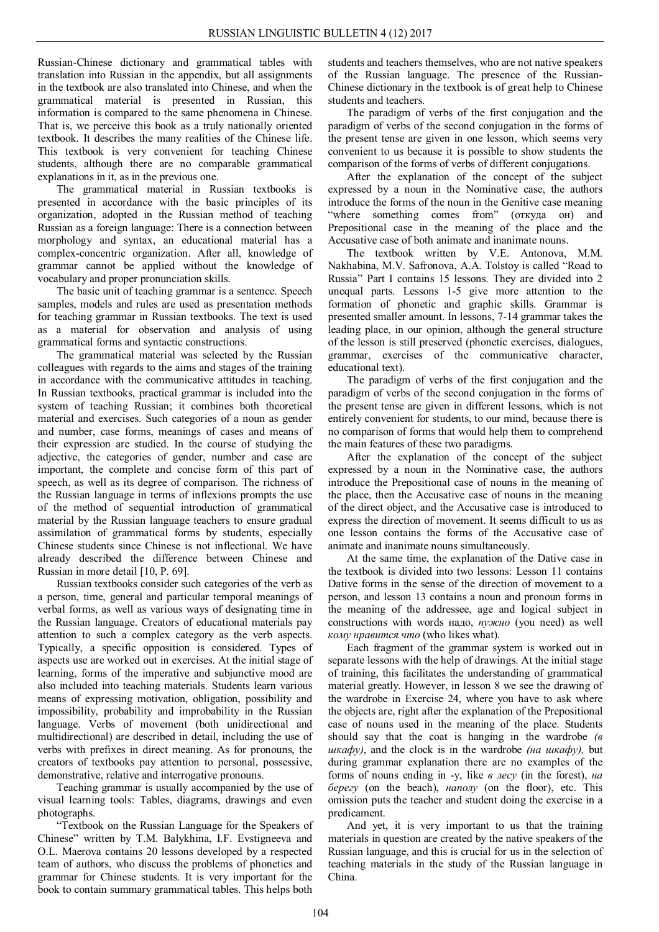Russian-Chinese dictionary and grammatical tables with translation into Russian in the appendix, but all assignments in the textbook are also translated into Chinese, and when the grammatical material is presented in Russian, this information is compared to the same phenomena in Chinese. That is, we perceive this book as a truly nationally oriented textbook. It describes the many realities of the Chinese life. This textbook is very convenient for teaching Chinese students, although there are no comparable grammatical explanations in it, as in the previous one.

The grammatical material in Russian textbooks is presented in accordance with the basic principles of its organization, adopted in the Russian method of teaching Russian as a foreign language: There is a connection between morphology and syntax, an educational material has a complex-concentric organization. After all, knowledge of grammar cannot be applied without the knowledge of vocabulary and proper pronunciation skills.

The basic unit of teaching grammar is a sentence. Speech samples, models and rules are used as presentation methods for teaching grammar in Russian textbooks. The text is used as a material for observation and analysis of using grammatical forms and syntactic constructions.

The grammatical material was selected by the Russian colleagues with regards to the aims and stages of the training in accordance with the communicative attitudes in teaching. In Russian textbooks, practical grammar is included into the system of teaching Russian; it combines both theoretical material and exercises. Such categories of a noun as gender and number, case forms, meanings of cases and means of their expression are studied. In the course of studying the adjective, the categories of gender, number and case are important, the complete and concise form of this part of speech, as well as its degree of comparison. The richness of the Russian language in terms of inflexions prompts the use of the method of sequential introduction of grammatical material by the Russian language teachers to ensure gradual assimilation of grammatical forms by students, especially Chinese students since Chinese is not inflectional. We have already described the difference between Chinese and Russian in more detail [10, P. 69].

Russian textbooks consider such categories of the verb as a person, time, general and particular temporal meanings of verbal forms, as well as various ways of designating time in the Russian language. Creators of educational materials pay attention to such a complex category as the verb aspects. Typically, a specific opposition is considered. Types of aspects use are worked out in exercises. At the initial stage of learning, forms of the imperative and subjunctive mood are also included into teaching materials. Students learn various means of expressing motivation, obligation, possibility and impossibility, probability and improbability in the Russian language. Verbs of movement (both unidirectional and multidirectional) are described in detail, including the use of verbs with prefixes in direct meaning. As for pronouns, the creators of textbooks pay attention to personal, possessive, demonstrative, relative and interrogative pronouns.

Teaching grammar is usually accompanied by the use of visual learning tools: Tables, diagrams, drawings and even photographs.

"Textbook on the Russian Language for the Speakers of Chinese" written by T.M. Balykhina, I.F. Evstigneeva and O.L. Maerova contains 20 lessons developed by a respected team of authors, who discuss the problems of phonetics and grammar for Chinese students. It is very important for the book to contain summary grammatical tables. This helps both

students and teachers themselves, who are not native speakers of the Russian language. The presence of the Russian-Chinese dictionary in the textbook is of great help to Chinese students and teachers.

The paradigm of verbs of the first conjugation and the paradigm of verbs of the second conjugation in the forms of the present tense are given in one lesson, which seems very convenient to us because it is possible to show students the comparison of the forms of verbs of different conjugations.

After the explanation of the concept of the subject expressed by a noun in the Nominative case, the authors introduce the forms of the noun in the Genitive case meaning "where something comes from" (откуда он) and Prepositional case in the meaning of the place and the Accusative case of both animate and inanimate nouns.

The textbook written by V.E. Antonova, M.M. Nakhabina, M.V. Safronova, A.A. Tolstoy is called "Road to Russia" Part I contains 15 lessons. They are divided into 2 unequal parts. Lessons 1-5 give more attention to the formation of phonetic and graphic skills. Grammar is presented smaller amount. In lessons, 7-14 grammar takes the leading place, in our opinion, although the general structure of the lesson is still preserved (phonetic exercises, dialogues, grammar, exercises of the communicative character, educational text).

The paradigm of verbs of the first conjugation and the paradigm of verbs of the second conjugation in the forms of the present tense are given in different lessons, which is not entirely convenient for students, to our mind, because there is no comparison of forms that would help them to comprehend the main features of these two paradigms.

After the explanation of the concept of the subject expressed by a noun in the Nominative case, the authors introduce the Prepositional case of nouns in the meaning of the place, then the Accusative case of nouns in the meaning of the direct object, and the Accusative case is introduced to express the direction of movement. It seems difficult to us as one lesson contains the forms of the Accusative case of animate and inanimate nouns simultaneously.

At the same time, the explanation of the Dative case in the textbook is divided into two lessons: Lesson 11 contains Dative forms in the sense of the direction of movement to a person, and lesson 13 contains a noun and pronoun forms in the meaning of the addressee, age and logical subject in constructions with words надо, *нужно* (you need) as well *кому нравится что* (who likes what).

Each fragment of the grammar system is worked out in separate lessons with the help of drawings. At the initial stage of training, this facilitates the understanding of grammatical material greatly. However, in lesson 8 we see the drawing of the wardrobe in Exercise 24, where you have to ask where the objects are, right after the explanation of the Prepositional case of nouns used in the meaning of the place. Students should say that the coat is hanging in the wardrobe  $\epsilon$ *шкафу)*, and the clock is in the wardrobe *(на шкафу),* but during grammar explanation there are no examples of the forms of nouns ending in -y, like *в лесу* (in the forest), *на берегу* (on the beach), *наполу* (on the floor), etc. This omission puts the teacher and student doing the exercise in a predicament.

And yet, it is very important to us that the training materials in question are created by the native speakers of the Russian language, and this is crucial for us in the selection of teaching materials in the study of the Russian language in China.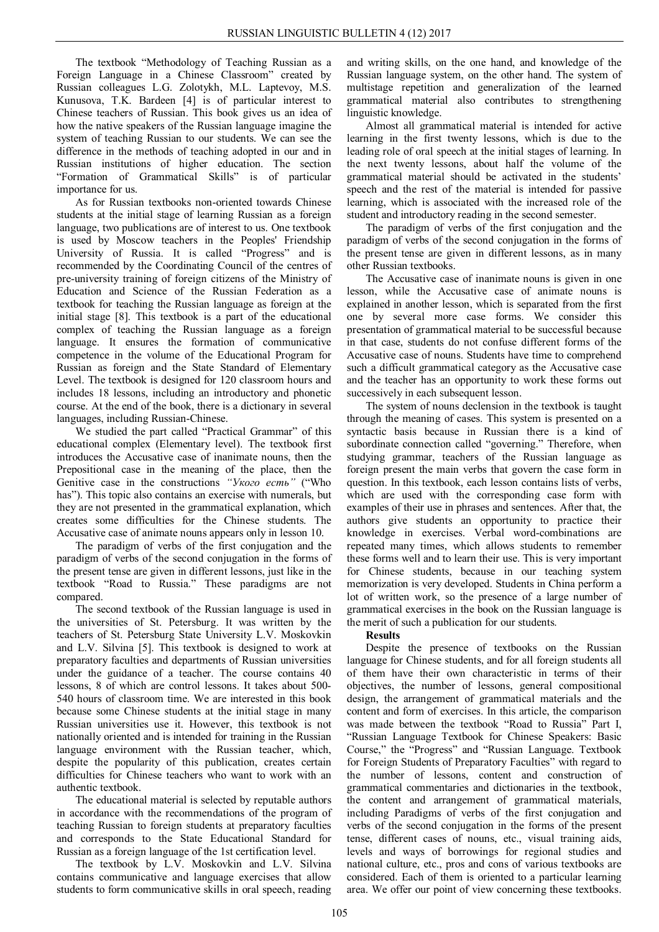The textbook "Methodology of Teaching Russian as a Foreign Language in a Chinese Classroom" created by Russian colleagues L.G. Zolotykh, M.L. Laptevoy, M.S. Kunusova, T.K. Bardeen [4] is of particular interest to Chinese teachers of Russian. This book gives us an idea of how the native speakers of the Russian language imagine the system of teaching Russian to our students. We can see the difference in the methods of teaching adopted in our and in Russian institutions of higher education. The section "Formation of Grammatical Skills" is of particular importance for us.

As for Russian textbooks non-oriented towards Chinese students at the initial stage of learning Russian as a foreign language, two publications are of interest to us. One textbook is used by Moscow teachers in the Peoples' Friendship University of Russia. It is called "Progress" and is recommended by the Coordinating Council of the centres of pre-university training of foreign citizens of the Ministry of Education and Science of the Russian Federation as a textbook for teaching the Russian language as foreign at the initial stage [8]. This textbook is a part of the educational complex of teaching the Russian language as a foreign language. It ensures the formation of communicative competence in the volume of the Educational Program for Russian as foreign and the State Standard of Elementary Level. The textbook is designed for 120 classroom hours and includes 18 lessons, including an introductory and phonetic course. At the end of the book, there is a dictionary in several languages, including Russian-Chinese.

We studied the part called "Practical Grammar" of this educational complex (Elementary level). The textbook first introduces the Accusative case of inanimate nouns, then the Prepositional case in the meaning of the place, then the Genitive case in the constructions *"Укого есть"* ("Who has"). This topic also contains an exercise with numerals, but they are not presented in the grammatical explanation, which creates some difficulties for the Chinese students. The Accusative case of animate nouns appears only in lesson 10.

The paradigm of verbs of the first conjugation and the paradigm of verbs of the second conjugation in the forms of the present tense are given in different lessons, just like in the textbook "Road to Russia." These paradigms are not compared.

The second textbook of the Russian language is used in the universities of St. Petersburg. It was written by the teachers of St. Petersburg State University L.V. Moskovkin and L.V. Silvina [5]. This textbook is designed to work at preparatory faculties and departments of Russian universities under the guidance of a teacher. The course contains 40 lessons, 8 of which are control lessons. It takes about 500- 540 hours of classroom time. We are interested in this book because some Chinese students at the initial stage in many Russian universities use it. However, this textbook is not nationally oriented and is intended for training in the Russian language environment with the Russian teacher, which, despite the popularity of this publication, creates certain difficulties for Chinese teachers who want to work with an authentic textbook.

The educational material is selected by reputable authors in accordance with the recommendations of the program of teaching Russian to foreign students at preparatory faculties and corresponds to the State Educational Standard for Russian as a foreign language of the 1st certification level.

The textbook by L.V. Moskovkin and L.V. Silvina contains communicative and language exercises that allow students to form communicative skills in oral speech, reading

and writing skills, on the one hand, and knowledge of the Russian language system, on the other hand. The system of multistage repetition and generalization of the learned grammatical material also contributes to strengthening linguistic knowledge.

Almost all grammatical material is intended for active learning in the first twenty lessons, which is due to the leading role of oral speech at the initial stages of learning. In the next twenty lessons, about half the volume of the grammatical material should be activated in the students' speech and the rest of the material is intended for passive learning, which is associated with the increased role of the student and introductory reading in the second semester.

The paradigm of verbs of the first conjugation and the paradigm of verbs of the second conjugation in the forms of the present tense are given in different lessons, as in many other Russian textbooks.

The Accusative case of inanimate nouns is given in one lesson, while the Accusative case of animate nouns is explained in another lesson, which is separated from the first one by several more case forms. We consider this presentation of grammatical material to be successful because in that case, students do not confuse different forms of the Accusative case of nouns. Students have time to comprehend such a difficult grammatical category as the Accusative case and the teacher has an opportunity to work these forms out successively in each subsequent lesson.

The system of nouns declension in the textbook is taught through the meaning of cases. This system is presented on a syntactic basis because in Russian there is a kind of subordinate connection called "governing." Therefore, when studying grammar, teachers of the Russian language as foreign present the main verbs that govern the case form in question. In this textbook, each lesson contains lists of verbs, which are used with the corresponding case form with examples of their use in phrases and sentences. After that, the authors give students an opportunity to practice their knowledge in exercises. Verbal word-combinations are repeated many times, which allows students to remember these forms well and to learn their use. This is very important for Chinese students, because in our teaching system memorization is very developed. Students in China perform a lot of written work, so the presence of a large number of grammatical exercises in the book on the Russian language is the merit of such a publication for our students.

## **Results**

Despite the presence of textbooks on the Russian language for Chinese students, and for all foreign students all of them have their own characteristic in terms of their objectives, the number of lessons, general compositional design, the arrangement of grammatical materials and the content and form of exercises. In this article, the comparison was made between the textbook "Road to Russia" Part I, "Russian Language Textbook for Chinese Speakers: Basic Course," the "Progress" and "Russian Language. Textbook for Foreign Students of Preparatory Faculties" with regard to the number of lessons, content and construction of grammatical commentaries and dictionaries in the textbook, the content and arrangement of grammatical materials, including Paradigms of verbs of the first conjugation and verbs of the second conjugation in the forms of the present tense, different cases of nouns, etc., visual training aids, levels and ways of borrowings for regional studies and national culture, etc., pros and cons of various textbooks are considered. Each of them is oriented to a particular learning area. We offer our point of view concerning these textbooks.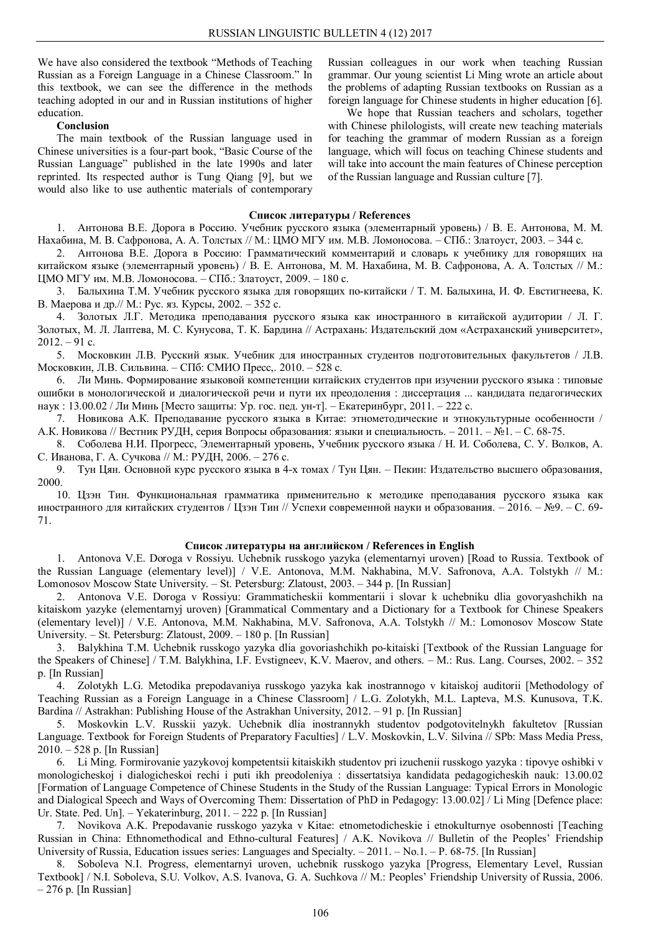We have also considered the textbook "Methods of Teaching Russian as a Foreign Language in a Chinese Classroom." In this textbook, we can see the difference in the methods teaching adopted in our and in Russian institutions of higher education.

#### **Conclusion**

The main textbook of the Russian language used in Chinese universities is a four-part book, "Basic Course of the Russian Language" published in the late 1990s and later reprinted. Its respected author is Tung Qiang [9], but we would also like to use authentic materials of contemporary

Russian colleagues in our work when teaching Russian grammar. Our young scientist Li Ming wrote an article about the problems of adapting Russian textbooks on Russian as a foreign language for Chinese students in higher education [6].

We hope that Russian teachers and scholars, together with Chinese philologists, will create new teaching materials for teaching the grammar of modern Russian as a foreign language, which will focus on teaching Chinese students and will take into account the main features of Chinese perception of the Russian language and Russian culture [7].

## **Список литературы / References**

1. Антонова В.Е. Дорога в Россию. Учебник русского языка (элементарный уровень) / В. Е. Антонова, М. М. Нахабина, М. В. Сафронова, А. А. Толстых // М.: ЦМО МГУ им. М.В. Ломоносова. – СПб.: Златоуст, 2003. – 344 с.

2. Антонова В.Е. Дорога в Россию: Грамматический комментарий и словарь к учебнику для говорящих на китайском языке (элементарный уровень) / В. Е. Антонова, М. М. Нахабина, М. В. Сафронова, А. А. Толстых // М.: ЦМО МГУ им. М.В. Ломоносова. – СПб.: Златоуст, 2009. – 180 с.

3. Балыхина Т.М. Учебник русского языка для говорящих по-китайски / Т. М. Балыхина, И. Ф. Евстигнеева, К. В. Маерова и др.// М.: Рус. яз. Курсы, 2002. – 352 с.

4. Золотых Л.Г. Методика преподавания русского языка как иностранного в китайской аудитории / Л. Г. Золотых, М. Л. Лаптева, М. С. Кунусова, Т. К. Бардина // Астрахань: Издательский дом «Астраханский университет»,  $2012. - 91$  c.

5. Московкин Л.В. Русский язык. Учебник для иностранных студентов подготовительных факультетов / Л.В. Московкин, Л.В. Сильвина. – СПб: СМИО Пресс,. 2010. – 528 с.

6. Ли Минь. Формирование языковой компетенции китайских студентов при изучении русского языка : типовые ошибки в монологической и диалогической речи и пути их преодоления : диссертация ... кандидата педагогических наук : 13.00.02 / Ли Минь [Место защиты: Ур. гос. пед. ун-т]. – Екатеринбург, 2011. – 222 с.

7. Новикова А.К. Преподавание русского языка в Китае: этнометодические и этнокультурные особенности / А.К. Новикова // Вестник РУДН, серия Вопросы образования: языки и специальность. – 2011. – №1. – С. 68-75.

8. Соболева Н.И. Прогресс, Элементарный уровень, Учебник русского языка / Н. И. Соболева, С. У. Волков, А. С. Иванова, Г. А. Сучкова // М.: РУДН, 2006. – 276 с.

9. Тун Цян. Основной курс русского языка в 4-х томах / Тун Цян. – Пекин: Издательство высшего образования, 2000.

10. Цзэн Тин. Функциональная грамматика применительно к методике преподавания русского языка как иностранного для китайских студентов / Цзэн Тин // Успехи современной науки и образования. – 2016. – №9. – С. 69- 71.

#### **Список литературы на английском / References in English**

1. Antonova V.E. Doroga v Rossiyu. Uchebnik russkogo yazyka (elementarnyi uroven) [Road to Russia. Textbook of the Russian Language (elementary level)] / V.E. Antonova, M.M. Nakhabina, M.V. Safronova, A.A. Tolstykh // M.: Lomonosov Moscow State University. – St. Petersburg: Zlatoust, 2003. – 344 p. [In Russian]

2. Antonova V.E. Doroga v Rossiyu: Grammaticheskii kommentarii i slovar k uchebniku dlia govoryashchikh na kitaiskom yazyke (elementarnyj uroven) [Grammatical Commentary and a Dictionary for a Textbook for Chinese Speakers (elementary level)] / V.E. Antonova, M.M. Nakhabina, M.V. Safronova, A.A. Tolstykh // M.: Lomonosov Moscow State University. – St. Petersburg: Zlatoust, 2009. – 180 p. [In Russian]

3. Balykhina T.M. Uchebnik russkogo yazyka dlia govoriashchikh po-kitaiski [Textbook of the Russian Language for the Speakers of Chinese] / T.M. Balykhina, I.F. Evstigneev, K.V. Maerov, and others. – M.: Rus. Lang. Courses, 2002. – 352 p. [In Russian]

4. Zolotykh L.G. Metodika prepodavaniya russkogo yazyka kak inostrannogo v kitaiskoj auditorii [Methodology of Teaching Russian as a Foreign Language in a Chinese Classroom] / L.G. Zolotykh, M.L. Lapteva, M.S. Kunusova, T.K. Bardina // Astrakhan: Publishing House of the Astrakhan University, 2012. – 91 p. [In Russian]

5. Moskovkin L.V. Russkii yazyk. Uchebnik dlia inostrannykh studentov podgotovitelnykh fakultetov [Russian Language. Textbook for Foreign Students of Preparatory Faculties] / L.V. Moskovkin, L.V. Silvina // SPb: Mass Media Press, 2010. – 528 p. [In Russian]

6. Li Ming. Formirovanie yazykovoj kompetentsii kitaiskikh studentov pri izuchenii russkogo yazyka : tipovye oshibki v monologicheskoj i dialogicheskoi rechi i puti ikh preodoleniya : dissertatsiya kandidata pedagogicheskih nauk: 13.00.02 [Formation of Language Competence of Chinese Students in the Study of the Russian Language: Typical Errors in Monologic and Dialogical Speech and Ways of Overcoming Them: Dissertation of PhD in Pedagogy: 13.00.02] / Li Ming [Defence place: Ur. State. Ped. Un]. – Yekaterinburg, 2011. – 222 p. [In Russian]

7. Novikova A.K. Prepodavanie russkogo yazyka v Kitae: etnometodicheskie i etnokulturnye osobennosti [Teaching Russian in China: Ethnomethodical and Ethno-cultural Features] / A.K. Novikova // Bulletin of the Peoples' Friendship University of Russia, Education issues series: Languages and Specialty. – 2011. – No.1. – P. 68-75. [In Russian]

8. Soboleva N.I. Progress, elementarnyi uroven, uchebnik russkogo yazyka [Progress, Elementary Level, Russian Textbook] / N.I. Soboleva, S.U. Volkov, A.S. Ivanova, G. A. Suchkova // M.: Peoples' Friendship University of Russia, 2006.  $-276$  p. [In Russian]